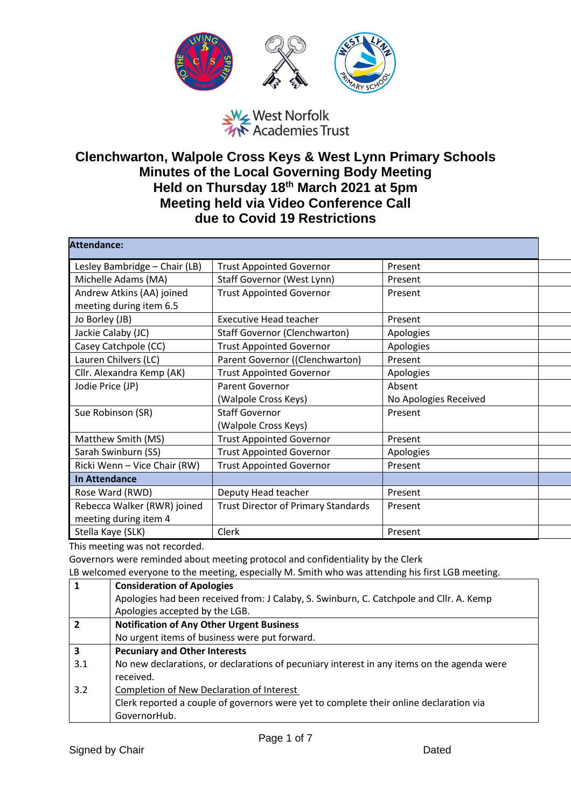

## West Norfolk<br>A Academies Trust

## **Clenchwarton, Walpole Cross Keys & West Lynn Primary Schools Minutes of the Local Governing Body Meeting Held on Thursday 18th March 2021 at 5pm Meeting held via Video Conference Call due to Covid 19 Restrictions**

| <b>Attendance:</b>            |                                            |                       |  |
|-------------------------------|--------------------------------------------|-----------------------|--|
| Lesley Bambridge - Chair (LB) | <b>Trust Appointed Governor</b>            | Present               |  |
| Michelle Adams (MA)           | Staff Governor (West Lynn)                 | Present               |  |
| Andrew Atkins (AA) joined     | <b>Trust Appointed Governor</b>            | Present               |  |
| meeting during item 6.5       |                                            |                       |  |
| Jo Borley (JB)                | <b>Executive Head teacher</b>              | Present               |  |
| Jackie Calaby (JC)            | <b>Staff Governor (Clenchwarton)</b>       | Apologies             |  |
| Casey Catchpole (CC)          | <b>Trust Appointed Governor</b>            | Apologies             |  |
| Lauren Chilvers (LC)          | Parent Governor ((Clenchwarton)            | Present               |  |
| Cllr. Alexandra Kemp (AK)     | <b>Trust Appointed Governor</b>            | Apologies             |  |
| Jodie Price (JP)              | <b>Parent Governor</b>                     | Absent                |  |
|                               | (Walpole Cross Keys)                       | No Apologies Received |  |
| Sue Robinson (SR)             | <b>Staff Governor</b>                      | Present               |  |
|                               | (Walpole Cross Keys)                       |                       |  |
| Matthew Smith (MS)            | <b>Trust Appointed Governor</b>            | Present               |  |
| Sarah Swinburn (SS)           | <b>Trust Appointed Governor</b>            | Apologies             |  |
| Ricki Wenn - Vice Chair (RW)  | <b>Trust Appointed Governor</b>            | Present               |  |
| <b>In Attendance</b>          |                                            |                       |  |
| Rose Ward (RWD)               | Deputy Head teacher                        | Present               |  |
| Rebecca Walker (RWR) joined   | <b>Trust Director of Primary Standards</b> | Present               |  |
| meeting during item 4         |                                            |                       |  |
| Stella Kaye (SLK)             | Clerk                                      | Present               |  |

This meeting was not recorded.

Governors were reminded about meeting protocol and confidentiality by the Clerk

LB welcomed everyone to the meeting, especially M. Smith who was attending his first LGB meeting.

| $\mathbf{1}$            | <b>Consideration of Apologies</b>                                                          |
|-------------------------|--------------------------------------------------------------------------------------------|
|                         | Apologies had been received from: J Calaby, S. Swinburn, C. Catchpole and Cllr. A. Kemp    |
|                         | Apologies accepted by the LGB.                                                             |
| $\overline{2}$          | <b>Notification of Any Other Urgent Business</b>                                           |
|                         | No urgent items of business were put forward.                                              |
| $\overline{\mathbf{3}}$ | <b>Pecuniary and Other Interests</b>                                                       |
| 3.1                     | No new declarations, or declarations of pecuniary interest in any items on the agenda were |
|                         | received.                                                                                  |
| 3.2                     | Completion of New Declaration of Interest                                                  |
|                         | Clerk reported a couple of governors were yet to complete their online declaration via     |
|                         | GovernorHub.                                                                               |
|                         |                                                                                            |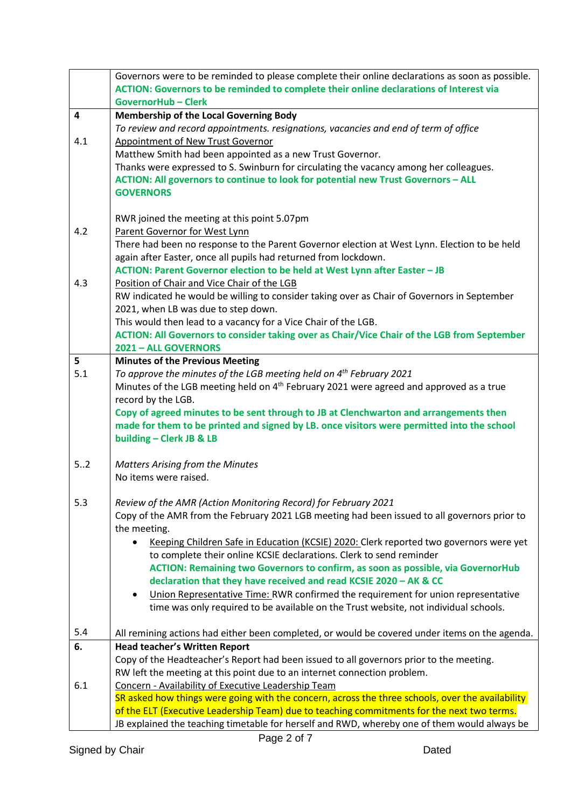|                         | Governors were to be reminded to please complete their online declarations as soon as possible.<br>ACTION: Governors to be reminded to complete their online declarations of Interest via<br><b>GovernorHub-Clerk</b> |
|-------------------------|-----------------------------------------------------------------------------------------------------------------------------------------------------------------------------------------------------------------------|
| $\overline{\mathbf{4}}$ | <b>Membership of the Local Governing Body</b>                                                                                                                                                                         |
|                         | To review and record appointments. resignations, vacancies and end of term of office                                                                                                                                  |
| 4.1                     | <b>Appointment of New Trust Governor</b>                                                                                                                                                                              |
|                         | Matthew Smith had been appointed as a new Trust Governor.                                                                                                                                                             |
|                         | Thanks were expressed to S. Swinburn for circulating the vacancy among her colleagues.                                                                                                                                |
|                         | ACTION: All governors to continue to look for potential new Trust Governors - ALL                                                                                                                                     |
|                         | <b>GOVERNORS</b>                                                                                                                                                                                                      |
|                         | RWR joined the meeting at this point 5.07pm                                                                                                                                                                           |
| 4.2                     | Parent Governor for West Lynn                                                                                                                                                                                         |
|                         | There had been no response to the Parent Governor election at West Lynn. Election to be held                                                                                                                          |
|                         | again after Easter, once all pupils had returned from lockdown.                                                                                                                                                       |
|                         | ACTION: Parent Governor election to be held at West Lynn after Easter - JB                                                                                                                                            |
| 4.3                     | Position of Chair and Vice Chair of the LGB                                                                                                                                                                           |
|                         | RW indicated he would be willing to consider taking over as Chair of Governors in September                                                                                                                           |
|                         | 2021, when LB was due to step down.                                                                                                                                                                                   |
|                         | This would then lead to a vacancy for a Vice Chair of the LGB.                                                                                                                                                        |
|                         | ACTION: All Governors to consider taking over as Chair/Vice Chair of the LGB from September<br>2021 - ALL GOVERNORS                                                                                                   |
| 5                       | <b>Minutes of the Previous Meeting</b>                                                                                                                                                                                |
| 5.1                     | To approve the minutes of the LGB meeting held on $4th$ February 2021                                                                                                                                                 |
|                         | Minutes of the LGB meeting held on 4 <sup>th</sup> February 2021 were agreed and approved as a true                                                                                                                   |
|                         | record by the LGB.                                                                                                                                                                                                    |
|                         | Copy of agreed minutes to be sent through to JB at Clenchwarton and arrangements then                                                                                                                                 |
|                         | made for them to be printed and signed by LB. once visitors were permitted into the school                                                                                                                            |
|                         | building - Clerk JB & LB                                                                                                                                                                                              |
| 52                      | <b>Matters Arising from the Minutes</b>                                                                                                                                                                               |
|                         | No items were raised.                                                                                                                                                                                                 |
|                         |                                                                                                                                                                                                                       |
| 5.3                     | Review of the AMR (Action Monitoring Record) for February 2021                                                                                                                                                        |
|                         | Copy of the AMR from the February 2021 LGB meeting had been issued to all governors prior to                                                                                                                          |
|                         | the meeting.                                                                                                                                                                                                          |
|                         | Keeping Children Safe in Education (KCSIE) 2020: Clerk reported two governors were yet                                                                                                                                |
|                         | to complete their online KCSIE declarations. Clerk to send reminder                                                                                                                                                   |
|                         | ACTION: Remaining two Governors to confirm, as soon as possible, via GovernorHub<br>declaration that they have received and read KCSIE 2020 - AK & CC                                                                 |
|                         | Union Representative Time: RWR confirmed the requirement for union representative<br>٠                                                                                                                                |
|                         | time was only required to be available on the Trust website, not individual schools.                                                                                                                                  |
|                         |                                                                                                                                                                                                                       |
| 5.4                     | All remining actions had either been completed, or would be covered under items on the agenda.                                                                                                                        |
| 6.                      | <b>Head teacher's Written Report</b>                                                                                                                                                                                  |
|                         | Copy of the Headteacher's Report had been issued to all governors prior to the meeting.                                                                                                                               |
|                         | RW left the meeting at this point due to an internet connection problem.                                                                                                                                              |
| 6.1                     | Concern - Availability of Executive Leadership Team<br>SR asked how things were going with the concern, across the three schools, over the availability                                                               |
|                         | of the ELT (Executive Leadership Team) due to teaching commitments for the next two terms.                                                                                                                            |
|                         | JB explained the teaching timetable for herself and RWD, whereby one of them would always be                                                                                                                          |
|                         |                                                                                                                                                                                                                       |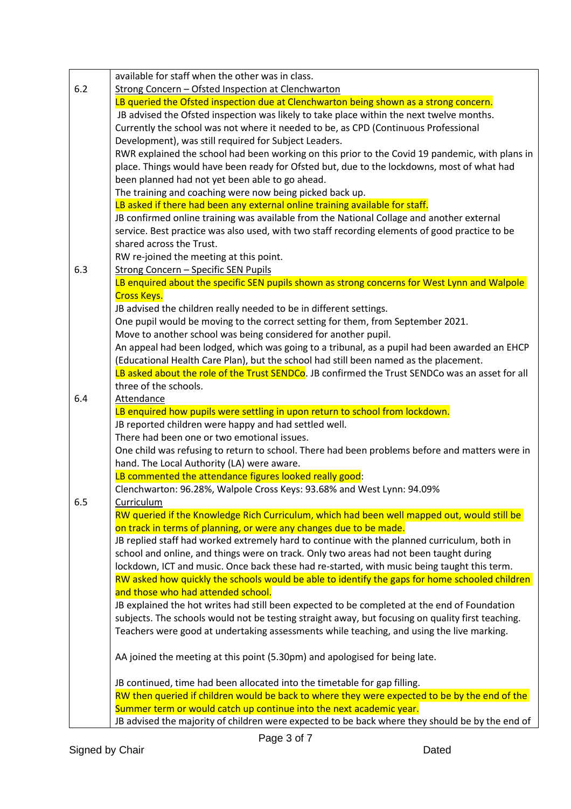|     | available for staff when the other was in class.                                                          |
|-----|-----------------------------------------------------------------------------------------------------------|
| 6.2 | Strong Concern - Ofsted Inspection at Clenchwarton                                                        |
|     | LB queried the Ofsted inspection due at Clenchwarton being shown as a strong concern.                     |
|     | JB advised the Ofsted inspection was likely to take place within the next twelve months.                  |
|     | Currently the school was not where it needed to be, as CPD (Continuous Professional                       |
|     | Development), was still required for Subject Leaders.                                                     |
|     | RWR explained the school had been working on this prior to the Covid 19 pandemic, with plans in           |
|     | place. Things would have been ready for Ofsted but, due to the lockdowns, most of what had                |
|     | been planned had not yet been able to go ahead.                                                           |
|     | The training and coaching were now being picked back up.                                                  |
|     | LB asked if there had been any external online training available for staff.                              |
|     | JB confirmed online training was available from the National Collage and another external                 |
|     | service. Best practice was also used, with two staff recording elements of good practice to be            |
|     | shared across the Trust.                                                                                  |
|     | RW re-joined the meeting at this point.                                                                   |
| 6.3 | <b>Strong Concern - Specific SEN Pupils</b>                                                               |
|     | LB enquired about the specific SEN pupils shown as strong concerns for West Lynn and Walpole              |
|     | <b>Cross Keys.</b>                                                                                        |
|     | JB advised the children really needed to be in different settings.                                        |
|     | One pupil would be moving to the correct setting for them, from September 2021.                           |
|     | Move to another school was being considered for another pupil.                                            |
|     | An appeal had been lodged, which was going to a tribunal, as a pupil had been awarded an EHCP             |
|     | (Educational Health Care Plan), but the school had still been named as the placement.                     |
|     | LB asked about the role of the Trust SENDCo. JB confirmed the Trust SENDCo was an asset for all           |
|     | three of the schools.                                                                                     |
| 6.4 | Attendance                                                                                                |
|     | LB enquired how pupils were settling in upon return to school from lockdown.                              |
|     | JB reported children were happy and had settled well.                                                     |
|     | There had been one or two emotional issues.                                                               |
|     | One child was refusing to return to school. There had been problems before and matters were in            |
|     | hand. The Local Authority (LA) were aware.                                                                |
|     | LB commented the attendance figures looked really good:                                                   |
|     | Clenchwarton: 96.28%, Walpole Cross Keys: 93.68% and West Lynn: 94.09%                                    |
| 6.5 |                                                                                                           |
|     | Curriculum<br>RW queried if the Knowledge Rich Curriculum, which had been well mapped out, would still be |
|     |                                                                                                           |
|     | on track in terms of planning, or were any changes due to be made.                                        |
|     | JB replied staff had worked extremely hard to continue with the planned curriculum, both in               |
|     | school and online, and things were on track. Only two areas had not been taught during                    |
|     | lockdown, ICT and music. Once back these had re-started, with music being taught this term.               |
|     | RW asked how quickly the schools would be able to identify the gaps for home schooled children            |
|     | and those who had attended school.                                                                        |
|     | JB explained the hot writes had still been expected to be completed at the end of Foundation              |
|     | subjects. The schools would not be testing straight away, but focusing on quality first teaching.         |
|     | Teachers were good at undertaking assessments while teaching, and using the live marking.                 |
|     | AA joined the meeting at this point (5.30pm) and apologised for being late.                               |
|     | JB continued, time had been allocated into the timetable for gap filling.                                 |
|     | RW then queried if children would be back to where they were expected to be by the end of the             |
|     | Summer term or would catch up continue into the next academic year.                                       |
|     | JB advised the majority of children were expected to be back where they should be by the end of           |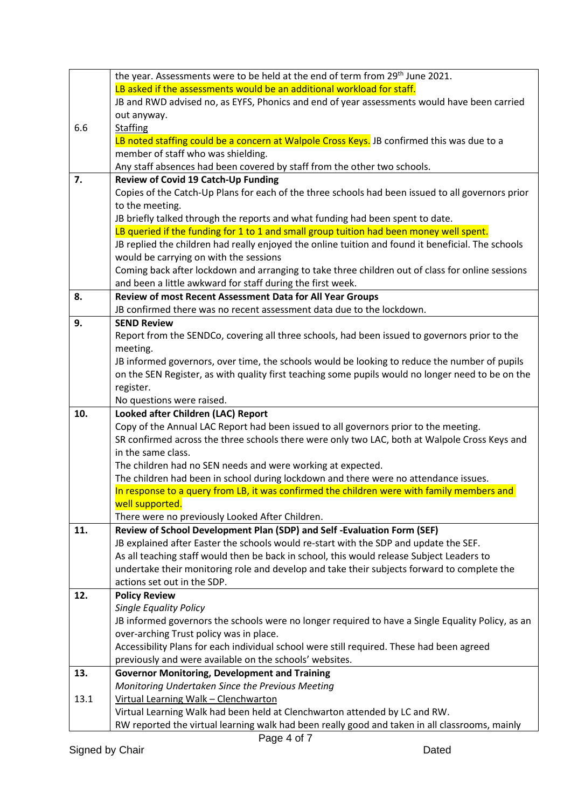|      | the year. Assessments were to be held at the end of term from 29 <sup>th</sup> June 2021.                                                                                    |
|------|------------------------------------------------------------------------------------------------------------------------------------------------------------------------------|
|      | LB asked if the assessments would be an additional workload for staff.                                                                                                       |
|      | JB and RWD advised no, as EYFS, Phonics and end of year assessments would have been carried                                                                                  |
|      | out anyway.                                                                                                                                                                  |
| 6.6  | <b>Staffing</b>                                                                                                                                                              |
|      | LB noted staffing could be a concern at Walpole Cross Keys. JB confirmed this was due to a                                                                                   |
|      | member of staff who was shielding.                                                                                                                                           |
|      | Any staff absences had been covered by staff from the other two schools.                                                                                                     |
| 7.   | Review of Covid 19 Catch-Up Funding                                                                                                                                          |
|      | Copies of the Catch-Up Plans for each of the three schools had been issued to all governors prior                                                                            |
|      | to the meeting.                                                                                                                                                              |
|      | JB briefly talked through the reports and what funding had been spent to date.                                                                                               |
|      | LB queried if the funding for 1 to 1 and small group tuition had been money well spent.                                                                                      |
|      | JB replied the children had really enjoyed the online tuition and found it beneficial. The schools                                                                           |
|      | would be carrying on with the sessions                                                                                                                                       |
|      | Coming back after lockdown and arranging to take three children out of class for online sessions                                                                             |
|      | and been a little awkward for staff during the first week.                                                                                                                   |
| 8.   | Review of most Recent Assessment Data for All Year Groups                                                                                                                    |
|      | JB confirmed there was no recent assessment data due to the lockdown.                                                                                                        |
| 9.   | <b>SEND Review</b>                                                                                                                                                           |
|      | Report from the SENDCo, covering all three schools, had been issued to governors prior to the                                                                                |
|      | meeting.                                                                                                                                                                     |
|      | JB informed governors, over time, the schools would be looking to reduce the number of pupils                                                                                |
|      | on the SEN Register, as with quality first teaching some pupils would no longer need to be on the                                                                            |
|      | register.                                                                                                                                                                    |
|      | No questions were raised.                                                                                                                                                    |
| 10.  | Looked after Children (LAC) Report                                                                                                                                           |
|      | Copy of the Annual LAC Report had been issued to all governors prior to the meeting.                                                                                         |
|      |                                                                                                                                                                              |
|      | SR confirmed across the three schools there were only two LAC, both at Walpole Cross Keys and                                                                                |
|      | in the same class.                                                                                                                                                           |
|      | The children had no SEN needs and were working at expected.                                                                                                                  |
|      | The children had been in school during lockdown and there were no attendance issues.                                                                                         |
|      | In response to a query from LB, it was confirmed the children were with family members and                                                                                   |
|      | well supported.                                                                                                                                                              |
|      | There were no previously Looked After Children.                                                                                                                              |
| 11.  | Review of School Development Plan (SDP) and Self-Evaluation Form (SEF)                                                                                                       |
|      | JB explained after Easter the schools would re-start with the SDP and update the SEF.                                                                                        |
|      | As all teaching staff would then be back in school, this would release Subject Leaders to                                                                                    |
|      | undertake their monitoring role and develop and take their subjects forward to complete the                                                                                  |
|      | actions set out in the SDP.                                                                                                                                                  |
| 12.  | <b>Policy Review</b>                                                                                                                                                         |
|      | <b>Single Equality Policy</b>                                                                                                                                                |
|      | JB informed governors the schools were no longer required to have a Single Equality Policy, as an                                                                            |
|      | over-arching Trust policy was in place.                                                                                                                                      |
|      | Accessibility Plans for each individual school were still required. These had been agreed                                                                                    |
|      | previously and were available on the schools' websites.                                                                                                                      |
| 13.  | <b>Governor Monitoring, Development and Training</b>                                                                                                                         |
| 13.1 | Monitoring Undertaken Since the Previous Meeting                                                                                                                             |
|      | Virtual Learning Walk - Clenchwarton                                                                                                                                         |
|      | Virtual Learning Walk had been held at Clenchwarton attended by LC and RW.<br>RW reported the virtual learning walk had been really good and taken in all classrooms, mainly |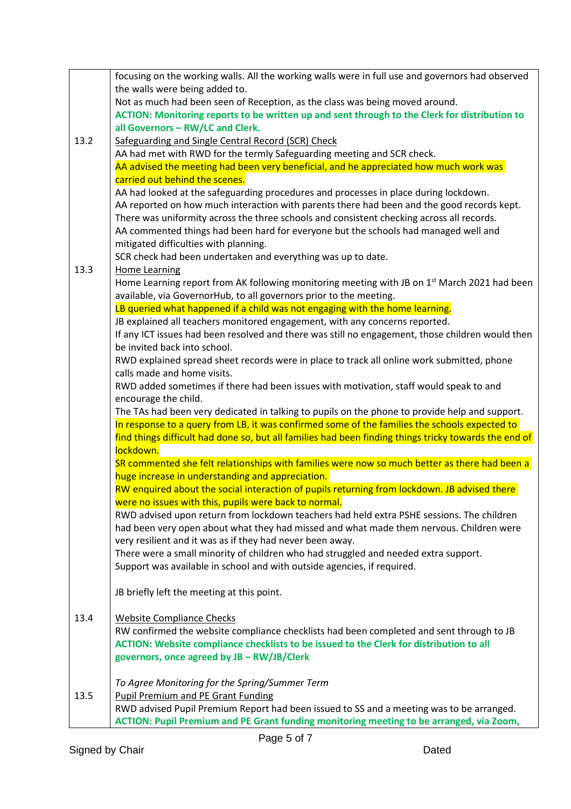|      | focusing on the working walls. All the working walls were in full use and governors had observed         |
|------|----------------------------------------------------------------------------------------------------------|
|      | the walls were being added to.                                                                           |
|      | Not as much had been seen of Reception, as the class was being moved around.                             |
|      | ACTION: Monitoring reports to be written up and sent through to the Clerk for distribution to            |
|      | all Governors - RW/LC and Clerk.                                                                         |
| 13.2 | Safeguarding and Single Central Record (SCR) Check                                                       |
|      | AA had met with RWD for the termly Safeguarding meeting and SCR check.                                   |
|      | AA advised the meeting had been very beneficial, and he appreciated how much work was                    |
|      | carried out behind the scenes.                                                                           |
|      | AA had looked at the safeguarding procedures and processes in place during lockdown.                     |
|      | AA reported on how much interaction with parents there had been and the good records kept.               |
|      | There was uniformity across the three schools and consistent checking across all records.                |
|      | AA commented things had been hard for everyone but the schools had managed well and                      |
|      | mitigated difficulties with planning.                                                                    |
|      | SCR check had been undertaken and everything was up to date.                                             |
| 13.3 | <b>Home Learning</b>                                                                                     |
|      | Home Learning report from AK following monitoring meeting with JB on 1 <sup>st</sup> March 2021 had been |
|      | available, via GovernorHub, to all governors prior to the meeting.                                       |
|      | LB queried what happened if a child was not engaging with the home learning.                             |
|      | JB explained all teachers monitored engagement, with any concerns reported.                              |
|      | If any ICT issues had been resolved and there was still no engagement, those children would then         |
|      | be invited back into school.                                                                             |
|      | RWD explained spread sheet records were in place to track all online work submitted, phone               |
|      | calls made and home visits.                                                                              |
|      | RWD added sometimes if there had been issues with motivation, staff would speak to and                   |
|      | encourage the child.                                                                                     |
|      | The TAs had been very dedicated in talking to pupils on the phone to provide help and support.           |
|      | In response to a query from LB, it was confirmed some of the families the schools expected to            |
|      | find things difficult had done so, but all families had been finding things tricky towards the end of    |
|      | lockdown.                                                                                                |
|      | SR commented she felt relationships with families were now so much better as there had been a            |
|      | huge increase in understanding and appreciation.                                                         |
|      | RW enquired about the social interaction of pupils returning from lockdown. JB advised there             |
|      | were no issues with this, pupils were back to normal.                                                    |
|      | RWD advised upon return from lockdown teachers had held extra PSHE sessions. The children                |
|      | had been very open about what they had missed and what made them nervous. Children were                  |
|      | very resilient and it was as if they had never been away.                                                |
|      | There were a small minority of children who had struggled and needed extra support.                      |
|      | Support was available in school and with outside agencies, if required.                                  |
|      |                                                                                                          |
|      | JB briefly left the meeting at this point.                                                               |
|      |                                                                                                          |
| 13.4 | <b>Website Compliance Checks</b>                                                                         |
|      | RW confirmed the website compliance checklists had been completed and sent through to JB                 |
|      | ACTION: Website compliance checklists to be issued to the Clerk for distribution to all                  |
|      | governors, once agreed by JB - RW/JB/Clerk                                                               |
|      |                                                                                                          |
|      | To Agree Monitoring for the Spring/Summer Term                                                           |
| 13.5 | <b>Pupil Premium and PE Grant Funding</b>                                                                |
|      | RWD advised Pupil Premium Report had been issued to SS and a meeting was to be arranged.                 |
|      | ACTION: Pupil Premium and PE Grant funding monitoring meeting to be arranged, via Zoom,                  |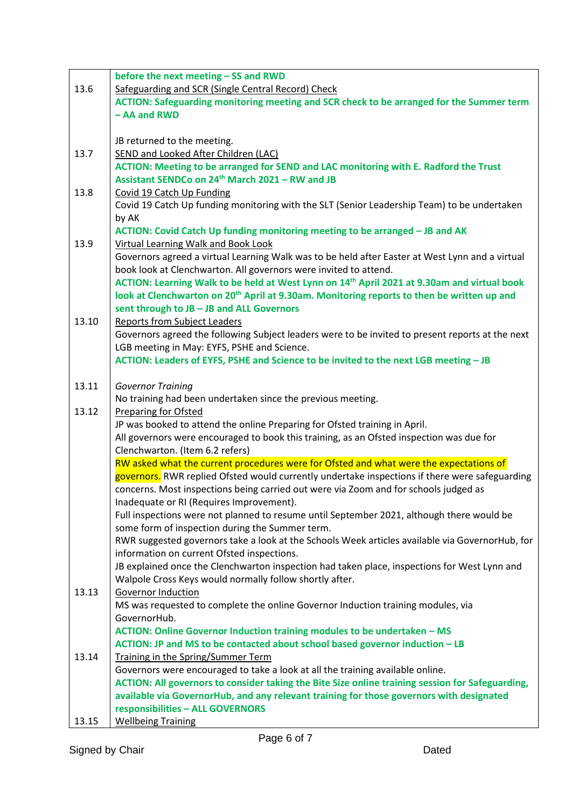|       | before the next meeting - SS and RWD                                                                                        |
|-------|-----------------------------------------------------------------------------------------------------------------------------|
| 13.6  | Safeguarding and SCR (Single Central Record) Check                                                                          |
|       | ACTION: Safeguarding monitoring meeting and SCR check to be arranged for the Summer term                                    |
|       | - AA and RWD                                                                                                                |
|       |                                                                                                                             |
|       | JB returned to the meeting.                                                                                                 |
| 13.7  | SEND and Looked After Children (LAC)                                                                                        |
|       | ACTION: Meeting to be arranged for SEND and LAC monitoring with E. Radford the Trust                                        |
|       | Assistant SENDCo on 24 <sup>th</sup> March 2021 - RW and JB                                                                 |
| 13.8  | Covid 19 Catch Up Funding                                                                                                   |
|       | Covid 19 Catch Up funding monitoring with the SLT (Senior Leadership Team) to be undertaken                                 |
|       | by AK                                                                                                                       |
|       | ACTION: Covid Catch Up funding monitoring meeting to be arranged - JB and AK                                                |
| 13.9  | <b>Virtual Learning Walk and Book Look</b>                                                                                  |
|       | Governors agreed a virtual Learning Walk was to be held after Easter at West Lynn and a virtual                             |
|       | book look at Clenchwarton. All governors were invited to attend.                                                            |
|       | ACTION: Learning Walk to be held at West Lynn on 14 <sup>th</sup> April 2021 at 9.30am and virtual book                     |
|       | look at Clenchwarton on 20 <sup>th</sup> April at 9.30am. Monitoring reports to then be written up and                      |
|       | sent through to JB - JB and ALL Governors                                                                                   |
| 13.10 | <b>Reports from Subject Leaders</b>                                                                                         |
|       | Governors agreed the following Subject leaders were to be invited to present reports at the next                            |
|       | LGB meeting in May: EYFS, PSHE and Science.                                                                                 |
|       | ACTION: Leaders of EYFS, PSHE and Science to be invited to the next LGB meeting - JB                                        |
|       |                                                                                                                             |
| 13.11 | <b>Governor Training</b>                                                                                                    |
|       | No training had been undertaken since the previous meeting.                                                                 |
| 13.12 | Preparing for Ofsted                                                                                                        |
|       | JP was booked to attend the online Preparing for Ofsted training in April.                                                  |
|       | All governors were encouraged to book this training, as an Ofsted inspection was due for<br>Clenchwarton. (Item 6.2 refers) |
|       | RW asked what the current procedures were for Ofsted and what were the expectations of                                      |
|       | governors. RWR replied Ofsted would currently undertake inspections if there were safeguarding                              |
|       | concerns. Most inspections being carried out were via Zoom and for schools judged as                                        |
|       | Inadequate or RI (Requires Improvement).                                                                                    |
|       | Full inspections were not planned to resume until September 2021, although there would be                                   |
|       | some form of inspection during the Summer term.                                                                             |
|       | RWR suggested governors take a look at the Schools Week articles available via GovernorHub, for                             |
|       | information on current Ofsted inspections.                                                                                  |
|       | JB explained once the Clenchwarton inspection had taken place, inspections for West Lynn and                                |
|       | Walpole Cross Keys would normally follow shortly after.                                                                     |
| 13.13 | Governor Induction                                                                                                          |
|       | MS was requested to complete the online Governor Induction training modules, via                                            |
|       | GovernorHub.                                                                                                                |
|       | ACTION: Online Governor Induction training modules to be undertaken - MS                                                    |
|       | ACTION: JP and MS to be contacted about school based governor induction - LB                                                |
| 13.14 | Training in the Spring/Summer Term                                                                                          |
|       | Governors were encouraged to take a look at all the training available online.                                              |
|       | ACTION: All governors to consider taking the Bite Size online training session for Safeguarding,                            |
|       | available via GovernorHub, and any relevant training for those governors with designated                                    |
|       | responsibilities - ALL GOVERNORS                                                                                            |
| 13.15 | <b>Wellbeing Training</b>                                                                                                   |